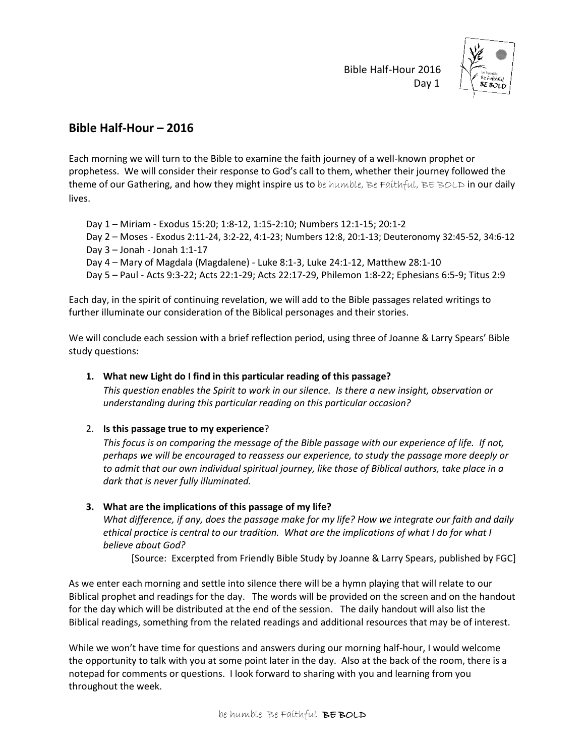Bible Half-Hour 2016 Day 1



## **Bible Half-Hour – 2016**

Each morning we will turn to the Bible to examine the faith journey of a well-known prophet or prophetess. We will consider their response to God's call to them, whether their journey followed the theme of our Gathering, and how they might inspire us to be humble, Be Faithful, BE BOLD in our daily lives.

Day 1 – Miriam - Exodus 15:20; 1:8-12, 1:15-2:10; Numbers 12:1-15; 20:1-2 Day 2 – Moses - Exodus 2:11-24, 3:2-22, 4:1-23; Numbers 12:8, 20:1-13; Deuteronomy 32:45-52, 34:6-12 Day 3 – Jonah - Jonah 1:1-17 Day 4 – Mary of Magdala (Magdalene) - Luke 8:1-3, Luke 24:1-12, Matthew 28:1-10 Day 5 – Paul - Acts 9:3-22; Acts 22:1-29; Acts 22:17-29, Philemon 1:8-22; Ephesians 6:5-9; Titus 2:9

Each day, in the spirit of continuing revelation, we will add to the Bible passages related writings to further illuminate our consideration of the Biblical personages and their stories.

We will conclude each session with a brief reflection period, using three of Joanne & Larry Spears' Bible study questions:

## **1. What new Light do I find in this particular reading of this passage?**

*This question enables the Spirit to work in our silence. Is there a new insight, observation or understanding during this particular reading on this particular occasion?*

## 2. **Is this passage true to my experience**?

*This focus is on comparing the message of the Bible passage with our experience of life. If not, perhaps we will be encouraged to reassess our experience, to study the passage more deeply or to admit that our own individual spiritual journey, like those of Biblical authors, take place in a dark that is never fully illuminated.*

## **3. What are the implications of this passage of my life?**

*What difference, if any, does the passage make for my life? How we integrate our faith and daily ethical practice is central to our tradition. What are the implications of what I do for what I believe about God?*

[Source: Excerpted from Friendly Bible Study by Joanne & Larry Spears, published by FGC]

As we enter each morning and settle into silence there will be a hymn playing that will relate to our Biblical prophet and readings for the day. The words will be provided on the screen and on the handout for the day which will be distributed at the end of the session. The daily handout will also list the Biblical readings, something from the related readings and additional resources that may be of interest.

While we won't have time for questions and answers during our morning half-hour, I would welcome the opportunity to talk with you at some point later in the day. Also at the back of the room, there is a notepad for comments or questions. I look forward to sharing with you and learning from you throughout the week.